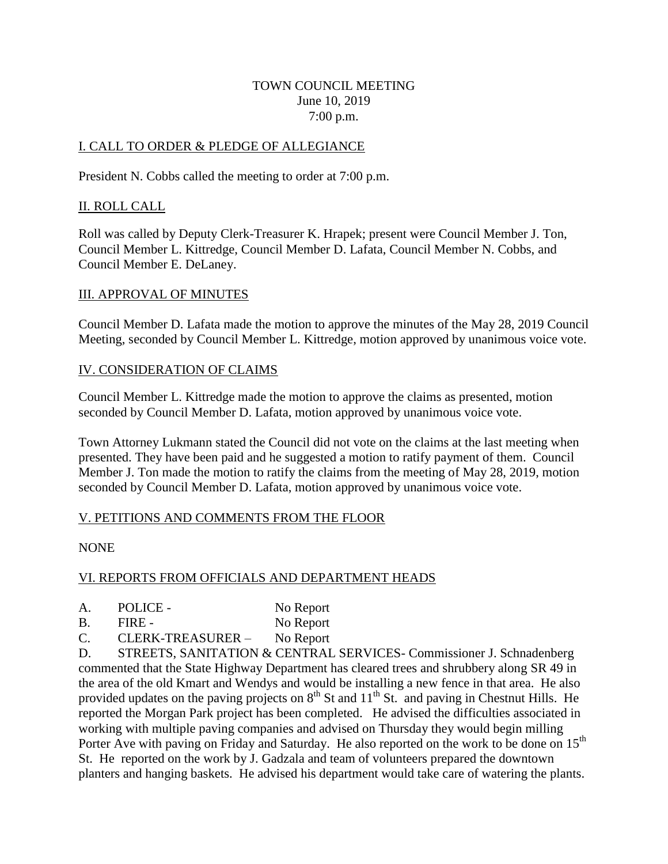### TOWN COUNCIL MEETING June 10, 2019 7:00 p.m.

## I. CALL TO ORDER & PLEDGE OF ALLEGIANCE

President N. Cobbs called the meeting to order at 7:00 p.m.

## II. ROLL CALL

Roll was called by Deputy Clerk-Treasurer K. Hrapek; present were Council Member J. Ton, Council Member L. Kittredge, Council Member D. Lafata, Council Member N. Cobbs, and Council Member E. DeLaney.

#### III. APPROVAL OF MINUTES

Council Member D. Lafata made the motion to approve the minutes of the May 28, 2019 Council Meeting, seconded by Council Member L. Kittredge, motion approved by unanimous voice vote.

## IV. CONSIDERATION OF CLAIMS

Council Member L. Kittredge made the motion to approve the claims as presented, motion seconded by Council Member D. Lafata, motion approved by unanimous voice vote.

Town Attorney Lukmann stated the Council did not vote on the claims at the last meeting when presented. They have been paid and he suggested a motion to ratify payment of them. Council Member J. Ton made the motion to ratify the claims from the meeting of May 28, 2019, motion seconded by Council Member D. Lafata, motion approved by unanimous voice vote.

#### V. PETITIONS AND COMMENTS FROM THE FLOOR

NONE

#### VI. REPORTS FROM OFFICIALS AND DEPARTMENT HEADS

- A. POLICE No Report
- B. FIRE No Report
- C. CLERK-TREASURER No Report

D. STREETS, SANITATION & CENTRAL SERVICES- Commissioner J. Schnadenberg commented that the State Highway Department has cleared trees and shrubbery along SR 49 in the area of the old Kmart and Wendys and would be installing a new fence in that area. He also provided updates on the paving projects on  $8<sup>th</sup>$  St and  $11<sup>th</sup>$  St. and paving in Chestnut Hills. He reported the Morgan Park project has been completed. He advised the difficulties associated in working with multiple paving companies and advised on Thursday they would begin milling Porter Ave with paving on Friday and Saturday. He also reported on the work to be done on 15<sup>th</sup> St. He reported on the work by J. Gadzala and team of volunteers prepared the downtown planters and hanging baskets. He advised his department would take care of watering the plants.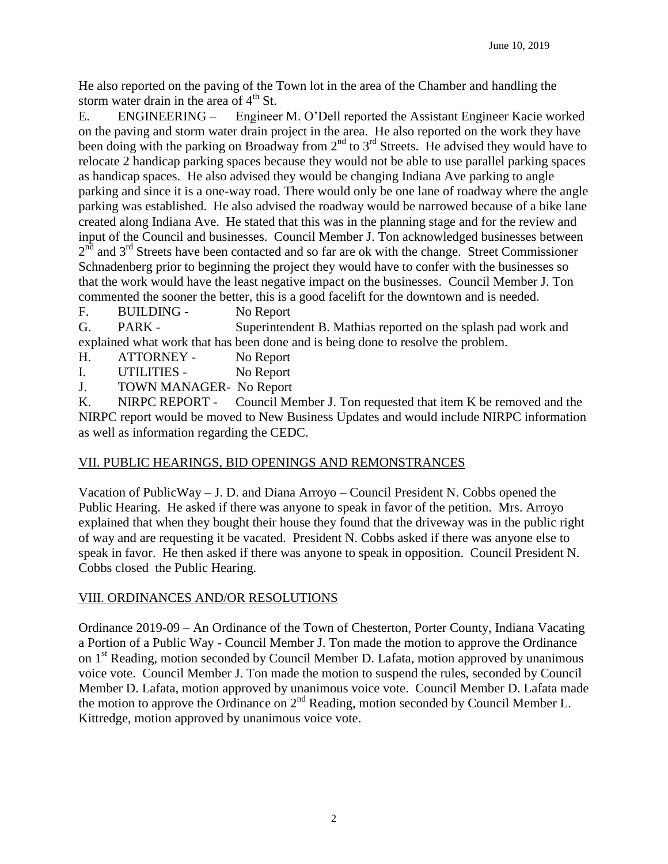He also reported on the paving of the Town lot in the area of the Chamber and handling the storm water drain in the area of  $4<sup>th</sup>$  St.

E. ENGINEERING – Engineer M. O'Dell reported the Assistant Engineer Kacie worked on the paving and storm water drain project in the area. He also reported on the work they have been doing with the parking on Broadway from  $2^{nd}$  to  $3^{rd}$  Streets. He advised they would have to relocate 2 handicap parking spaces because they would not be able to use parallel parking spaces as handicap spaces. He also advised they would be changing Indiana Ave parking to angle parking and since it is a one-way road. There would only be one lane of roadway where the angle parking was established. He also advised the roadway would be narrowed because of a bike lane created along Indiana Ave. He stated that this was in the planning stage and for the review and input of the Council and businesses. Council Member J. Ton acknowledged businesses between  $2<sup>n\bar{d}</sup>$  and  $3<sup>rd</sup>$  Streets have been contacted and so far are ok with the change. Street Commissioner Schnadenberg prior to beginning the project they would have to confer with the businesses so that the work would have the least negative impact on the businesses. Council Member J. Ton commented the sooner the better, this is a good facelift for the downtown and is needed.

F. BUILDING - No Report

G. PARK - Superintendent B. Mathias reported on the splash pad work and explained what work that has been done and is being done to resolve the problem.

- H. ATTORNEY No Report
- I. UTILITIES No Report

J. TOWN MANAGER- No Report

K. NIRPC REPORT - Council Member J. Ton requested that item K be removed and the NIRPC report would be moved to New Business Updates and would include NIRPC information as well as information regarding the CEDC.

# VII. PUBLIC HEARINGS, BID OPENINGS AND REMONSTRANCES

Vacation of PublicWay – J. D. and Diana Arroyo – Council President N. Cobbs opened the Public Hearing. He asked if there was anyone to speak in favor of the petition. Mrs. Arroyo explained that when they bought their house they found that the driveway was in the public right of way and are requesting it be vacated. President N. Cobbs asked if there was anyone else to speak in favor. He then asked if there was anyone to speak in opposition. Council President N. Cobbs closed the Public Hearing.

# VIII. ORDINANCES AND/OR RESOLUTIONS

Ordinance 2019-09 – An Ordinance of the Town of Chesterton, Porter County, Indiana Vacating a Portion of a Public Way - Council Member J. Ton made the motion to approve the Ordinance on 1<sup>st</sup> Reading, motion seconded by Council Member D. Lafata, motion approved by unanimous voice vote. Council Member J. Ton made the motion to suspend the rules, seconded by Council Member D. Lafata, motion approved by unanimous voice vote. Council Member D. Lafata made the motion to approve the Ordinance on  $2<sup>nd</sup>$  Reading, motion seconded by Council Member L. Kittredge, motion approved by unanimous voice vote.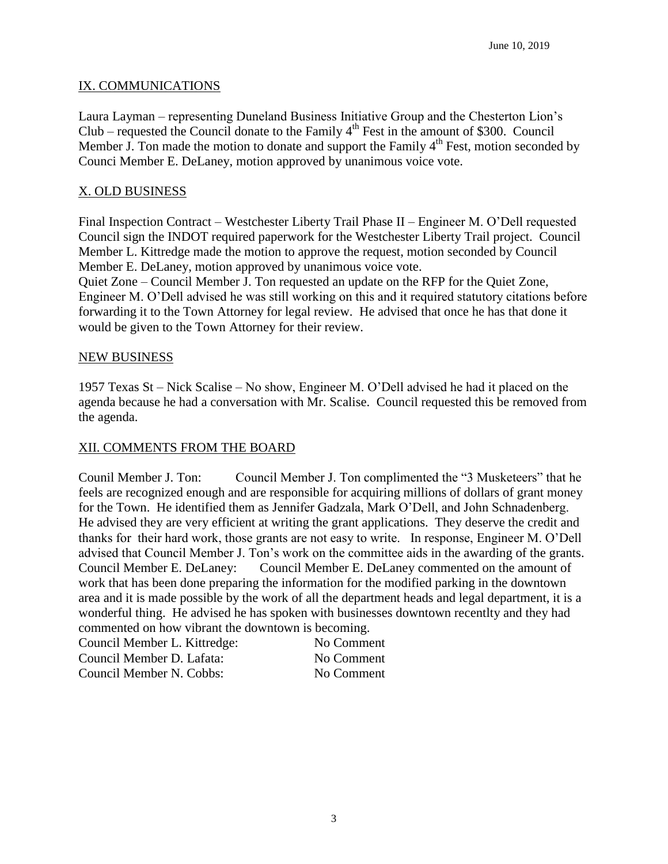## IX. COMMUNICATIONS

Laura Layman – representing Duneland Business Initiative Group and the Chesterton Lion's Club – requested the Council donate to the Family  $4<sup>th</sup>$  Fest in the amount of \$300. Council Member J. Ton made the motion to donate and support the Family  $4<sup>th</sup>$  Fest, motion seconded by Counci Member E. DeLaney, motion approved by unanimous voice vote.

# X. OLD BUSINESS

Final Inspection Contract – Westchester Liberty Trail Phase II – Engineer M. O'Dell requested Council sign the INDOT required paperwork for the Westchester Liberty Trail project. Council Member L. Kittredge made the motion to approve the request, motion seconded by Council Member E. DeLaney, motion approved by unanimous voice vote.

Quiet Zone – Council Member J. Ton requested an update on the RFP for the Quiet Zone, Engineer M. O'Dell advised he was still working on this and it required statutory citations before forwarding it to the Town Attorney for legal review. He advised that once he has that done it would be given to the Town Attorney for their review.

## NEW BUSINESS

1957 Texas St – Nick Scalise – No show, Engineer M. O'Dell advised he had it placed on the agenda because he had a conversation with Mr. Scalise. Council requested this be removed from the agenda.

## XII. COMMENTS FROM THE BOARD

Counil Member J. Ton: Council Member J. Ton complimented the "3 Musketeers" that he feels are recognized enough and are responsible for acquiring millions of dollars of grant money for the Town. He identified them as Jennifer Gadzala, Mark O'Dell, and John Schnadenberg. He advised they are very efficient at writing the grant applications. They deserve the credit and thanks for their hard work, those grants are not easy to write. In response, Engineer M. O'Dell advised that Council Member J. Ton's work on the committee aids in the awarding of the grants. Council Member E. DeLaney: Council Member E. DeLaney commented on the amount of work that has been done preparing the information for the modified parking in the downtown area and it is made possible by the work of all the department heads and legal department, it is a wonderful thing. He advised he has spoken with businesses downtown recentlty and they had commented on how vibrant the downtown is becoming.

| Council Member L. Kittredge: | No Comment |
|------------------------------|------------|
| Council Member D. Lafata:    | No Comment |
| Council Member N. Cobbs:     | No Comment |